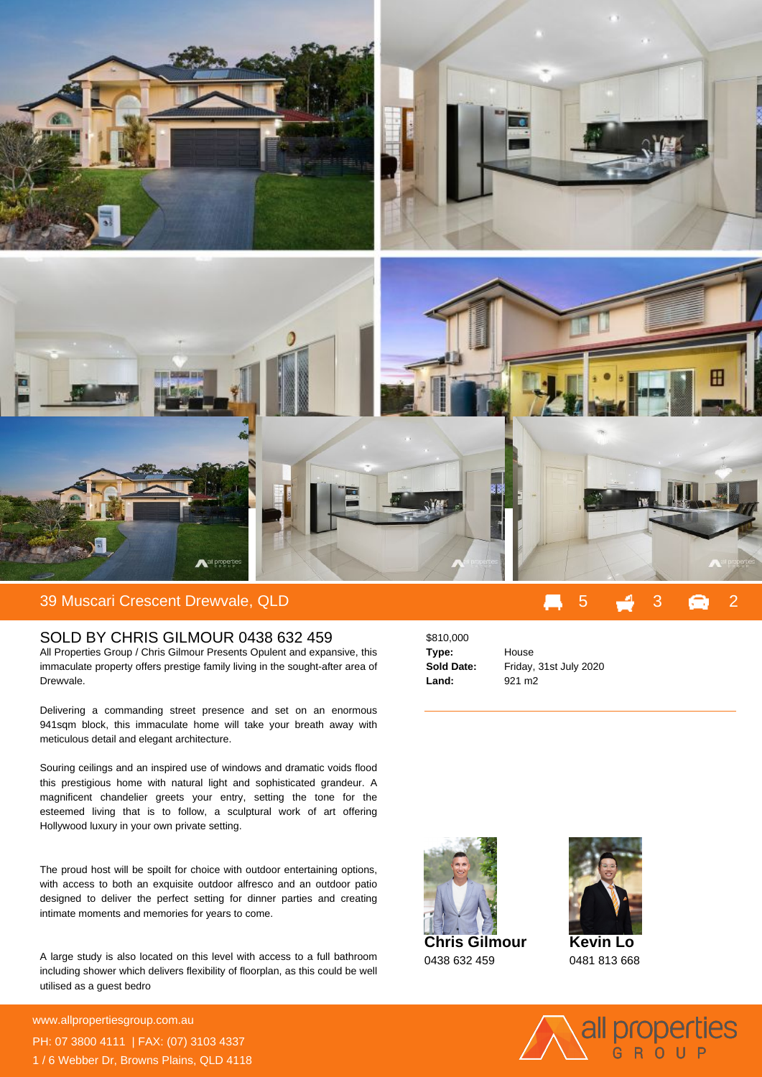

## 39 Muscari Crescent Drewvale, QLD 5 3 2

## SOLD BY CHRIS GILMOUR 0438 632 459

All Properties Group / Chris Gilmour Presents Opulent and expansive, this immaculate property offers prestige family living in the sought-after area of Drewvale.

Delivering a commanding street presence and set on an enormous 941sqm block, this immaculate home will take your breath away with meticulous detail and elegant architecture.

Souring ceilings and an inspired use of windows and dramatic voids flood this prestigious home with natural light and sophisticated grandeur. A magnificent chandelier greets your entry, setting the tone for the esteemed living that is to follow, a sculptural work of art offering Hollywood luxury in your own private setting.

The proud host will be spoilt for choice with outdoor entertaining options, with access to both an exquisite outdoor alfresco and an outdoor patio designed to deliver the perfect setting for dinner parties and creating intimate moments and memories for years to come.

A large study is also located on this level with access to a full bathroom including shower which delivers flexibility of floorplan, as this could be well utilised as a guest bedro

**For more details please visit** www.allpropertiesgroup.com.au/5650505075050507<br>www.allpropertiesgroup.com.au/ PH: 07 3800 4111 | FAX: (07) 3103 4337 1 / 6 Webber Dr, Browns Plains, QLD 4118

\$810,000 **Type:** House **Land:** 921 m2

**Sold Date:** Friday, 31st July 2020





**Kevin Lo** 0481 813 668